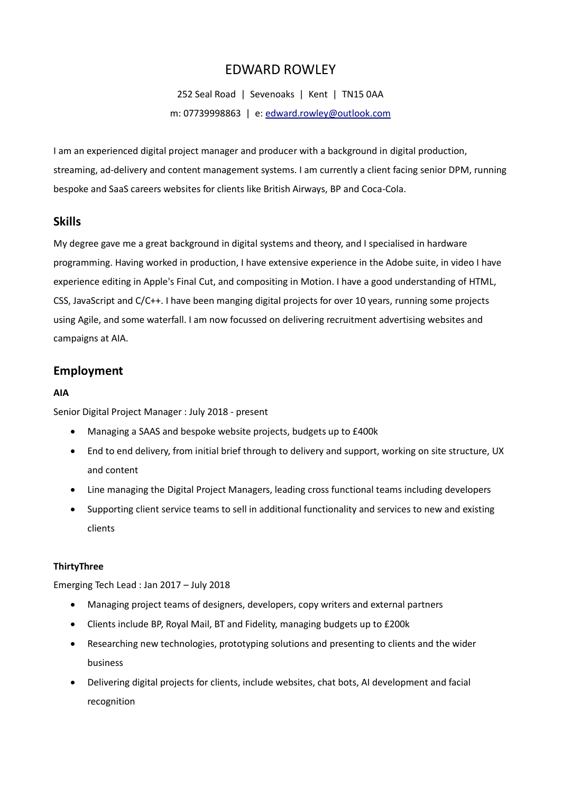# EDWARD ROWLEY

252 Seal Road | Sevenoaks | Kent | TN15 0AA m: 07739998863 | e: [edward.rowley@outlook.com](mailto:edward.rowley@outlook.com)

I am an experienced digital project manager and producer with a background in digital production, streaming, ad-delivery and content management systems. I am currently a client facing senior DPM, running bespoke and SaaS careers websites for clients like British Airways, BP and Coca-Cola.

### **Skills**

My degree gave me a great background in digital systems and theory, and I specialised in hardware programming. Having worked in production, I have extensive experience in the Adobe suite, in video I have experience editing in Apple's Final Cut, and compositing in Motion. I have a good understanding of HTML, CSS, JavaScript and C/C++. I have been manging digital projects for over 10 years, running some projects using Agile, and some waterfall. I am now focussed on delivering recruitment advertising websites and campaigns at AIA.

## **Employment**

### **AIA**

Senior Digital Project Manager : July 2018 - present

- Managing a SAAS and bespoke website projects, budgets up to £400k
- End to end delivery, from initial brief through to delivery and support, working on site structure, UX and content
- Line managing the Digital Project Managers, leading cross functional teams including developers
- Supporting client service teams to sell in additional functionality and services to new and existing clients

### **ThirtyThree**

Emerging Tech Lead : Jan 2017 – July 2018

- Managing project teams of designers, developers, copy writers and external partners
- Clients include BP, Royal Mail, BT and Fidelity, managing budgets up to £200k
- Researching new technologies, prototyping solutions and presenting to clients and the wider business
- Delivering digital projects for clients, include websites, chat bots, AI development and facial recognition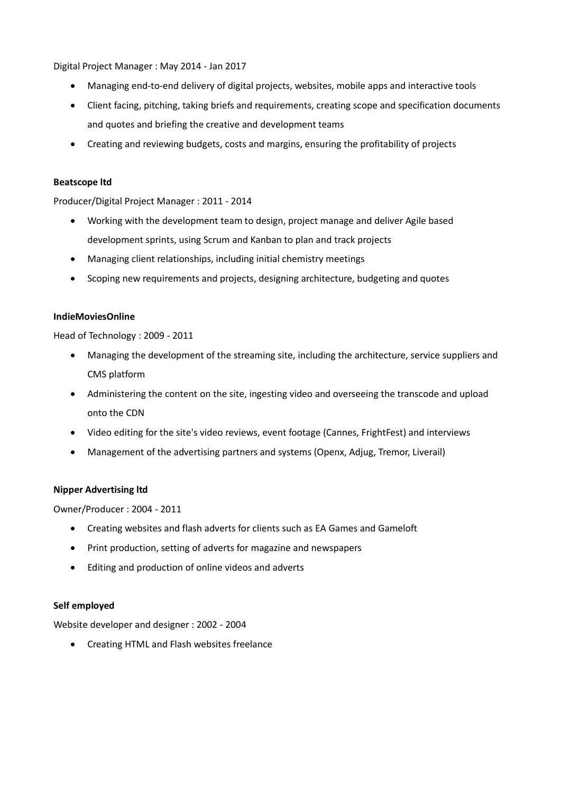Digital Project Manager : May 2014 - Jan 2017

- Managing end-to-end delivery of digital projects, websites, mobile apps and interactive tools
- Client facing, pitching, taking briefs and requirements, creating scope and specification documents and quotes and briefing the creative and development teams
- Creating and reviewing budgets, costs and margins, ensuring the profitability of projects

#### **Beatscope ltd**

Producer/Digital Project Manager : 2011 - 2014

- Working with the development team to design, project manage and deliver Agile based development sprints, using Scrum and Kanban to plan and track projects
- Managing client relationships, including initial chemistry meetings
- Scoping new requirements and projects, designing architecture, budgeting and quotes

#### **IndieMoviesOnline**

Head of Technology : 2009 - 2011

- Managing the development of the streaming site, including the architecture, service suppliers and CMS platform
- Administering the content on the site, ingesting video and overseeing the transcode and upload onto the CDN
- Video editing for the site's video reviews, event footage (Cannes, FrightFest) and interviews
- Management of the advertising partners and systems (Openx, Adjug, Tremor, Liverail)

#### **Nipper Advertising ltd**

Owner/Producer : 2004 - 2011

- Creating websites and flash adverts for clients such as EA Games and Gameloft
- Print production, setting of adverts for magazine and newspapers
- Editing and production of online videos and adverts

#### **Self employed**

Website developer and designer : 2002 - 2004

• Creating HTML and Flash websites freelance